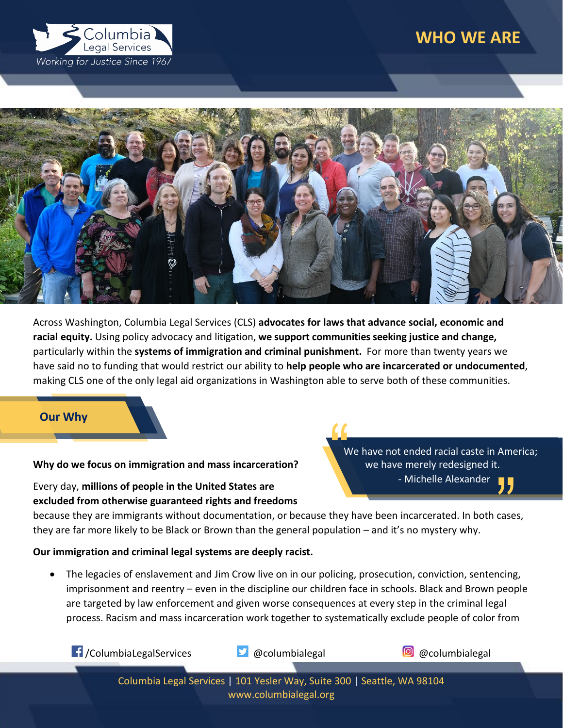# **WHO WE ARE**





Across Washington, Columbia Legal Services (CLS) **advocates for laws that advance social, economic and racial equity.** Using policy advocacy and litigation, **we support communities seeking justice and change,** particularly within the **systems of immigration and criminal punishment.** For more than twenty years we have said no to funding that would restrict our ability to **help people who are incarcerated or undocumented**, making CLS one of the only legal aid organizations in Washington able to serve both of these communities.

## **Our Why**

#### **Why do we focus on immigration and mass incarceration?**

## Every day, **millions of people in the United States are excluded from otherwise guaranteed rights and freedoms**

We have not ended racial caste in America; we have merely redesigned it. - Michelle Alexander "

because they are immigrants without documentation, or because they have been incarcerated. In both cases, they are far more likely to be Black or Brown than the general population – and it's no mystery why.

## **Our immigration and criminal legal systems are deeply racist.**

• The legacies of enslavement and Jim Crow live on in our policing, prosecution, conviction, sentencing, imprisonment and reentry – even in the discipline our children face in schools. Black and Brown people are targeted by law enforcement and given worse consequences at every step in the criminal legal process. Racism and mass incarceration work together to systematically exclude people of color from



Columbia Legal Services | 101 Yesler Way, Suite 300 | Seattle, WA 98104 www.columbialegal.org